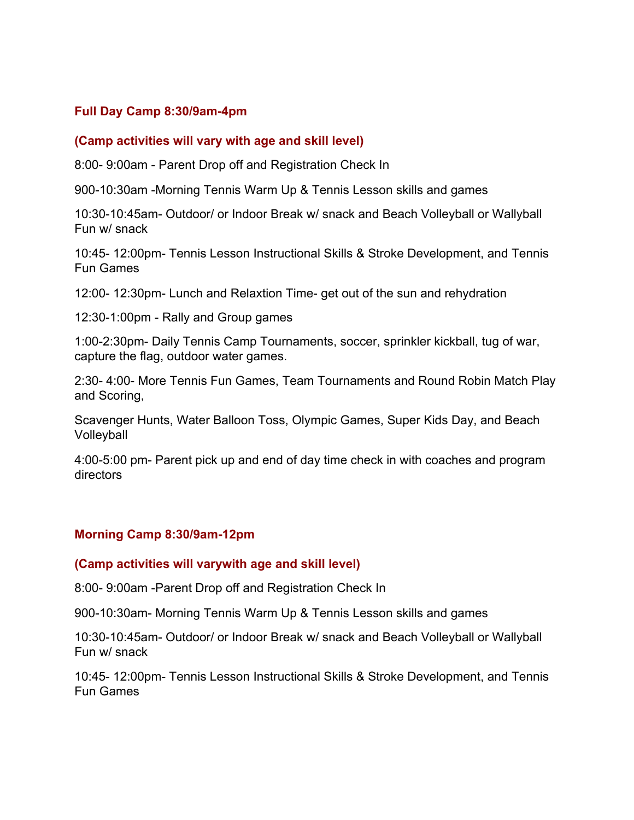# **Full Day Camp 8:30/9am-4pm**

## **(Camp activities will vary with age and skill level)**

8:00- 9:00am - Parent Drop off and Registration Check In

900-10:30am -Morning Tennis Warm Up & Tennis Lesson skills and games

10:30-10:45am- Outdoor/ or Indoor Break w/ snack and Beach Volleyball or Wallyball Fun w/ snack

10:45- 12:00pm- Tennis Lesson Instructional Skills & Stroke Development, and Tennis Fun Games

12:00- 12:30pm- Lunch and Relaxtion Time- get out of the sun and rehydration

12:30-1:00pm - Rally and Group games

1:00-2:30pm- Daily Tennis Camp Tournaments, soccer, sprinkler kickball, tug of war, capture the flag, outdoor water games.

2:30- 4:00- More Tennis Fun Games, Team Tournaments and Round Robin Match Play and Scoring,

Scavenger Hunts, Water Balloon Toss, Olympic Games, Super Kids Day, and Beach **Volleyball** 

4:00-5:00 pm- Parent pick up and end of day time check in with coaches and program directors

### **Morning Camp 8:30/9am-12pm**

#### **(Camp activities will varywith age and skill level)**

8:00- 9:00am -Parent Drop off and Registration Check In

900-10:30am- Morning Tennis Warm Up & Tennis Lesson skills and games

10:30-10:45am- Outdoor/ or Indoor Break w/ snack and Beach Volleyball or Wallyball Fun w/ snack

10:45- 12:00pm- Tennis Lesson Instructional Skills & Stroke Development, and Tennis Fun Games